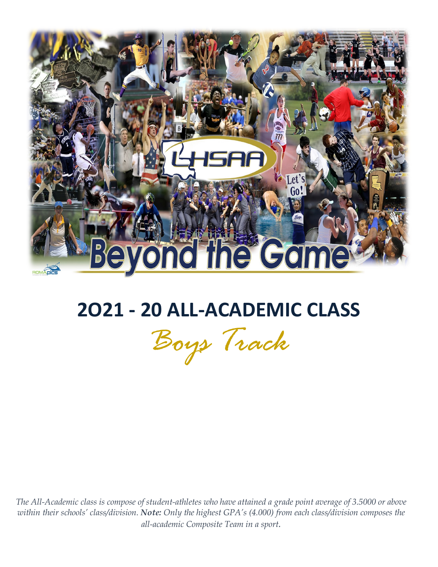

# **2O21 - 20 ALL-ACADEMIC CLASS**

*Boys Track*

*The All-Academic class is compose of student-athletes who have attained a grade point average of 3.5000 or above within their schools' class/division. Note: Only the highest GPA's (4.000) from each class/division composes the all-academic Composite Team in a sport.*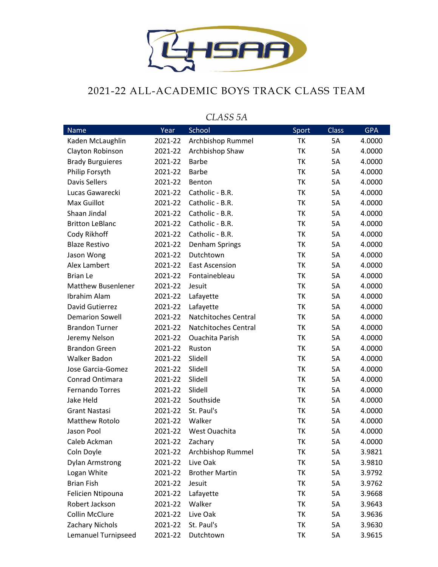

## 2021-22 ALL-ACADEMIC BOYS TRACK CLASS TEAM

| <b>Name</b>                | Year    | School                 | Sport     | <b>Class</b> | <b>GPA</b> |
|----------------------------|---------|------------------------|-----------|--------------|------------|
| Kaden McLaughlin           | 2021-22 | Archbishop Rummel      | <b>TK</b> | 5A           | 4.0000     |
| Clayton Robinson           | 2021-22 | Archbishop Shaw        | TK        | 5A           | 4.0000     |
| <b>Brady Burguieres</b>    | 2021-22 | <b>Barbe</b>           | TK        | 5A           | 4.0000     |
| Philip Forsyth             | 2021-22 | <b>Barbe</b>           | TK        | 5A           | 4.0000     |
| <b>Davis Sellers</b>       | 2021-22 | Benton                 | TK        | 5A           | 4.0000     |
| Lucas Gawarecki            | 2021-22 | Catholic - B.R.        | TK        | 5A           | 4.0000     |
| Max Guillot                | 2021-22 | Catholic - B.R.        | TK        | 5A           | 4.0000     |
| Shaan Jindal               | 2021-22 | Catholic - B.R.        | TK        | 5A           | 4.0000     |
| <b>Britton LeBlanc</b>     | 2021-22 | Catholic - B.R.        | TK        | 5A           | 4.0000     |
| Cody Rikhoff               | 2021-22 | Catholic - B.R.        | TK        | 5A           | 4.0000     |
| <b>Blaze Restivo</b>       | 2021-22 | Denham Springs         | TK        | 5A           | 4.0000     |
| Jason Wong                 | 2021-22 | Dutchtown              | TK        | 5A           | 4.0000     |
| Alex Lambert               | 2021-22 | <b>East Ascension</b>  | TK        | 5A           | 4.0000     |
| <b>Brian Le</b>            | 2021-22 | Fontainebleau          | TK        | 5A           | 4.0000     |
| <b>Matthew Busenlener</b>  | 2021-22 | Jesuit                 | <b>TK</b> | 5A           | 4.0000     |
| Ibrahim Alam               | 2021-22 | Lafayette              | TK        | 5A           | 4.0000     |
| David Gutierrez            | 2021-22 | Lafayette              | TK        | 5A           | 4.0000     |
| <b>Demarion Sowell</b>     | 2021-22 | Natchitoches Central   | TK        | 5A           | 4.0000     |
| <b>Brandon Turner</b>      | 2021-22 | Natchitoches Central   | TK        | 5A           | 4.0000     |
| Jeremy Nelson              | 2021-22 | <b>Ouachita Parish</b> | TK        | 5A           | 4.0000     |
| <b>Brandon Green</b>       | 2021-22 | Ruston                 | <b>TK</b> | 5A           | 4.0000     |
| Walker Badon               | 2021-22 | Slidell                | TK        | 5A           | 4.0000     |
| Jose Garcia-Gomez          | 2021-22 | Slidell                | TK        | 5A           | 4.0000     |
| Conrad Ontimara            | 2021-22 | Slidell                | TK        | 5A           | 4.0000     |
| <b>Fernando Torres</b>     | 2021-22 | Slidell                | TK        | 5A           | 4.0000     |
| Jake Held                  | 2021-22 | Southside              | TK        | 5A           | 4.0000     |
| <b>Grant Nastasi</b>       | 2021-22 | St. Paul's             | TK        | 5A           | 4.0000     |
| <b>Matthew Rotolo</b>      | 2021-22 | Walker                 | TK        | 5A           | 4.0000     |
| Jason Pool                 | 2021-22 | West Ouachita          | TΚ        | 5A           | 4.0000     |
| Caleb Ackman               | 2021-22 | Zachary                | TK        | 5A           | 4.0000     |
| Coln Doyle                 | 2021-22 | Archbishop Rummel      | TΚ        | 5A           | 3.9821     |
| <b>Dylan Armstrong</b>     | 2021-22 | Live Oak               | TK        | 5A           | 3.9810     |
| Logan White                | 2021-22 | <b>Brother Martin</b>  | TK        | 5A           | 3.9792     |
| <b>Brian Fish</b>          | 2021-22 | Jesuit                 | TK        | 5A           | 3.9762     |
| Felicien Ntipouna          | 2021-22 | Lafayette              | TK        | 5A           | 3.9668     |
| Robert Jackson             | 2021-22 | Walker                 | TK        | 5A           | 3.9643     |
| <b>Collin McClure</b>      | 2021-22 | Live Oak               | TK        | 5A           | 3.9636     |
| Zachary Nichols            | 2021-22 | St. Paul's             | TK        | 5A           | 3.9630     |
| <b>Lemanuel Turnipseed</b> | 2021-22 | Dutchtown              | TK        | 5A           | 3.9615     |

### *CLASS 5A*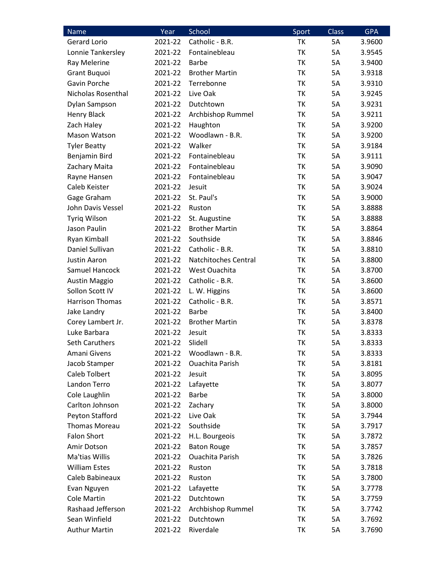| Name                   | Year    | School                      | Sport     | <b>Class</b> | <b>GPA</b> |
|------------------------|---------|-----------------------------|-----------|--------------|------------|
| Gerard Lorio           | 2021-22 | Catholic - B.R.             | TK        | 5A           | 3.9600     |
| Lonnie Tankersley      | 2021-22 | Fontainebleau               | TK        | 5A           | 3.9545     |
| Ray Melerine           | 2021-22 | <b>Barbe</b>                | <b>TK</b> | 5A           | 3.9400     |
| Grant Buquoi           | 2021-22 | <b>Brother Martin</b>       | TK        | 5A           | 3.9318     |
| Gavin Porche           | 2021-22 | Terrebonne                  | TK        | 5A           | 3.9310     |
| Nicholas Rosenthal     | 2021-22 | Live Oak                    | TK        | 5A           | 3.9245     |
| Dylan Sampson          | 2021-22 | Dutchtown                   | TK        | 5A           | 3.9231     |
| <b>Henry Black</b>     | 2021-22 | Archbishop Rummel           | TK        | 5A           | 3.9211     |
| Zach Haley             | 2021-22 | Haughton                    | TK        | 5A           | 3.9200     |
| Mason Watson           | 2021-22 | Woodlawn - B.R.             | TK        | 5A           | 3.9200     |
| <b>Tyler Beatty</b>    | 2021-22 | Walker                      | TK        | 5A           | 3.9184     |
| Benjamin Bird          | 2021-22 | Fontainebleau               | TK        | 5A           | 3.9111     |
| Zachary Maita          | 2021-22 | Fontainebleau               | TK        | 5A           | 3.9090     |
| Rayne Hansen           | 2021-22 | Fontainebleau               | TK        | 5A           | 3.9047     |
| Caleb Keister          | 2021-22 | Jesuit                      | <b>TK</b> | 5A           | 3.9024     |
| Gage Graham            | 2021-22 | St. Paul's                  | TK        | 5A           | 3.9000     |
| John Davis Vessel      | 2021-22 | Ruston                      | TK        | 5A           | 3.8888     |
| Tyriq Wilson           | 2021-22 | St. Augustine               | ТK        | 5A           | 3.8888     |
| Jason Paulin           | 2021-22 | <b>Brother Martin</b>       | TK        | 5A           | 3.8864     |
| Ryan Kimball           | 2021-22 | Southside                   | TK        | 5A           | 3.8846     |
| Daniel Sullivan        | 2021-22 | Catholic - B.R.             | TK        | 5A           | 3.8810     |
| Justin Aaron           | 2021-22 | <b>Natchitoches Central</b> | TK        | 5A           | 3.8800     |
| Samuel Hancock         | 2021-22 | West Ouachita               | TK        | 5A           | 3.8700     |
| <b>Austin Maggio</b>   | 2021-22 | Catholic - B.R.             | TK        | 5A           | 3.8600     |
| Sollon Scott IV        | 2021-22 | L. W. Higgins               | TK        | 5A           | 3.8600     |
| <b>Harrison Thomas</b> | 2021-22 | Catholic - B.R.             | TK        | 5A           | 3.8571     |
| Jake Landry            | 2021-22 | <b>Barbe</b>                | <b>TK</b> | 5A           | 3.8400     |
| Corey Lambert Jr.      | 2021-22 | <b>Brother Martin</b>       | TK        | 5A           | 3.8378     |
| Luke Barbara           | 2021-22 | Jesuit                      | TK        | 5A           | 3.8333     |
| Seth Caruthers         | 2021-22 | Slidell                     | <b>TK</b> | 5A           | 3.8333     |
| Amani Givens           | 2021-22 | Woodlawn - B.R.             | TK        | 5A           | 3.8333     |
| Jacob Stamper          | 2021-22 | Ouachita Parish             | ТK        | 5A           | 3.8181     |
| Caleb Tolbert          | 2021-22 | Jesuit                      | TK        | 5A           | 3.8095     |
| Landon Terro           | 2021-22 | Lafayette                   | TK        | 5A           | 3.8077     |
| Cole Laughlin          | 2021-22 | <b>Barbe</b>                | TK        | 5A           | 3.8000     |
| Carlton Johnson        | 2021-22 | Zachary                     | TK        | 5A           | 3.8000     |
| Peyton Stafford        | 2021-22 | Live Oak                    | TK        | 5A           | 3.7944     |
| <b>Thomas Moreau</b>   | 2021-22 | Southside                   | TK        | 5A           | 3.7917     |
| <b>Falon Short</b>     | 2021-22 | H.L. Bourgeois              | TK        | 5A           | 3.7872     |
| Amir Dotson            | 2021-22 | <b>Baton Rouge</b>          | TK        | 5A           | 3.7857     |
| Ma'tias Willis         | 2021-22 | <b>Ouachita Parish</b>      | TK        | 5A           | 3.7826     |
| <b>William Estes</b>   | 2021-22 | Ruston                      | TK        | 5A           | 3.7818     |
| Caleb Babineaux        | 2021-22 | Ruston                      | TK        | 5A           | 3.7800     |
| Evan Nguyen            | 2021-22 | Lafayette                   | ΤK        | 5A           | 3.7778     |
| <b>Cole Martin</b>     | 2021-22 | Dutchtown                   | TK        | 5A           | 3.7759     |
| Rashaad Jefferson      | 2021-22 | Archbishop Rummel           | TK        | 5A           | 3.7742     |
| Sean Winfield          | 2021-22 | Dutchtown                   | ΤK        | 5A           | 3.7692     |
| <b>Authur Martin</b>   | 2021-22 | Riverdale                   | ТK        | 5A           | 3.7690     |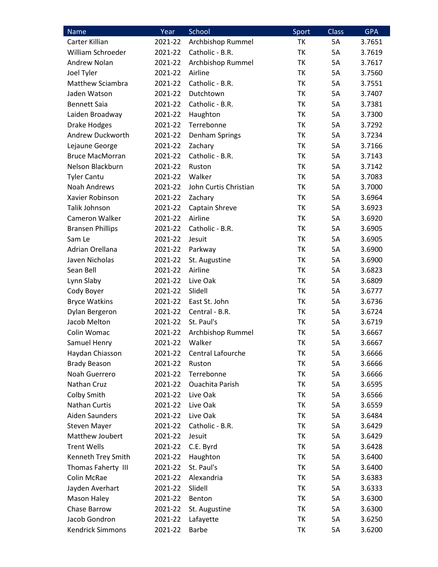| Name                    | Year    | School                 | Sport     | <b>Class</b> | <b>GPA</b> |
|-------------------------|---------|------------------------|-----------|--------------|------------|
| Carter Killian          | 2021-22 | Archbishop Rummel      | TK        | 5A           | 3.7651     |
| William Schroeder       | 2021-22 | Catholic - B.R.        | TK        | 5A           | 3.7619     |
| Andrew Nolan            | 2021-22 | Archbishop Rummel      | <b>TK</b> | 5A           | 3.7617     |
| Joel Tyler              | 2021-22 | Airline                | TK        | 5A           | 3.7560     |
| <b>Matthew Sciambra</b> | 2021-22 | Catholic - B.R.        | TK        | 5A           | 3.7551     |
| Jaden Watson            | 2021-22 | Dutchtown              | TK        | 5A           | 3.7407     |
| <b>Bennett Saia</b>     | 2021-22 | Catholic - B.R.        | TK        | 5A           | 3.7381     |
| Laiden Broadway         | 2021-22 | Haughton               | TK        | 5A           | 3.7300     |
| <b>Drake Hodges</b>     | 2021-22 | Terrebonne             | <b>TK</b> | 5A           | 3.7292     |
| Andrew Duckworth        | 2021-22 | Denham Springs         | TK        | 5A           | 3.7234     |
| Lejaune George          | 2021-22 | Zachary                | TK        | 5A           | 3.7166     |
| <b>Bruce MacMorran</b>  | 2021-22 | Catholic - B.R.        | <b>TK</b> | 5A           | 3.7143     |
| Nelson Blackburn        | 2021-22 | Ruston                 | TK        | 5A           | 3.7142     |
| <b>Tyler Cantu</b>      | 2021-22 | Walker                 | TK        | 5A           | 3.7083     |
| <b>Noah Andrews</b>     | 2021-22 | John Curtis Christian  | TK        | 5A           | 3.7000     |
| Xavier Robinson         | 2021-22 | Zachary                | TK        | 5A           | 3.6964     |
| Talik Johnson           | 2021-22 | Captain Shreve         | TK        | 5A           | 3.6923     |
| Cameron Walker          | 2021-22 | Airline                | TK        | 5A           | 3.6920     |
| <b>Bransen Phillips</b> | 2021-22 | Catholic - B.R.        | TK        | 5A           | 3.6905     |
| Sam Le                  | 2021-22 | Jesuit                 | TK        | 5A           | 3.6905     |
| Adrian Orellana         | 2021-22 | Parkway                | <b>TK</b> | 5A           | 3.6900     |
| Javen Nicholas          | 2021-22 | St. Augustine          | TK        | 5A           | 3.6900     |
| Sean Bell               | 2021-22 | Airline                | TK        | 5A           | 3.6823     |
| Lynn Slaby              | 2021-22 | Live Oak               | TK        | 5A           | 3.6809     |
| Cody Boyer              | 2021-22 | Slidell                | TK        | 5A           | 3.6777     |
| <b>Bryce Watkins</b>    | 2021-22 | East St. John          | TK        | 5A           | 3.6736     |
| Dylan Bergeron          | 2021-22 | Central - B.R.         | <b>TK</b> | 5A           | 3.6724     |
| Jacob Melton            | 2021-22 | St. Paul's             | TK        | 5A           | 3.6719     |
| Colin Womac             | 2021-22 | Archbishop Rummel      | TK        | 5A           | 3.6667     |
| Samuel Henry            | 2021-22 | Walker                 | <b>TK</b> | 5A           | 3.6667     |
| Haydan Chiasson         | 2021-22 | Central Lafourche      | TK        | 5A           | 3.6666     |
| <b>Brady Beason</b>     | 2021-22 | Ruston                 | TΚ        | 5A           | 3.6666     |
| Noah Guerrero           | 2021-22 | Terrebonne             | TK        | 5A           | 3.6666     |
| Nathan Cruz             | 2021-22 | <b>Ouachita Parish</b> | TK        | 5A           | 3.6595     |
| Colby Smith             | 2021-22 | Live Oak               | ΤK        | 5A           | 3.6566     |
| <b>Nathan Curtis</b>    | 2021-22 | Live Oak               | TK        | 5A           | 3.6559     |
| Aiden Saunders          | 2021-22 | Live Oak               | ΤK        | 5A           | 3.6484     |
| <b>Steven Mayer</b>     | 2021-22 | Catholic - B.R.        | TK        | 5A           | 3.6429     |
| Matthew Joubert         | 2021-22 | Jesuit                 | TK        | 5A           | 3.6429     |
| <b>Trent Wells</b>      | 2021-22 | C.E. Byrd              | TK        | 5A           | 3.6428     |
| Kenneth Trey Smith      | 2021-22 | Haughton               | TK        | 5A           | 3.6400     |
| Thomas Faherty III      | 2021-22 | St. Paul's             | TK        | 5A           | 3.6400     |
| Colin McRae             | 2021-22 | Alexandria             | TK        | 5A           | 3.6383     |
| Jayden Averhart         | 2021-22 | Slidell                | TK        | 5A           | 3.6333     |
| Mason Haley             | 2021-22 | Benton                 | TK        | 5A           | 3.6300     |
| Chase Barrow            | 2021-22 | St. Augustine          | TK        | 5A           | 3.6300     |
| Jacob Gondron           | 2021-22 | Lafayette              | ТK        | 5A           | 3.6250     |
| <b>Kendrick Simmons</b> | 2021-22 | <b>Barbe</b>           | TΚ        | 5A           | 3.6200     |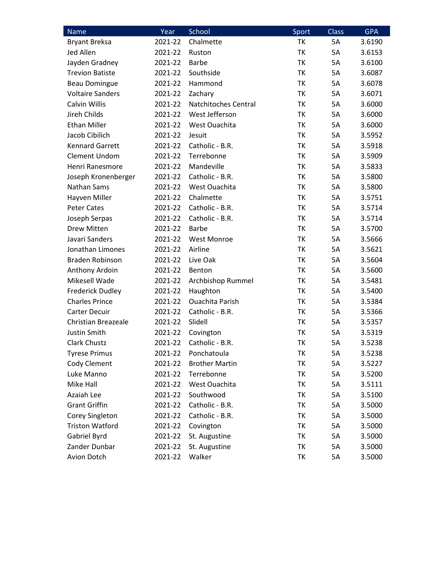| Name                       | Year    | School                 | Sport     | <b>Class</b> | <b>GPA</b> |
|----------------------------|---------|------------------------|-----------|--------------|------------|
| <b>Bryant Breksa</b>       | 2021-22 | Chalmette              | <b>TK</b> | <b>5A</b>    | 3.6190     |
| Jed Allen                  | 2021-22 | Ruston                 | TK        | 5A           | 3.6153     |
| Jayden Gradney             | 2021-22 | Barbe                  | TK        | 5A           | 3.6100     |
| <b>Trevion Batiste</b>     | 2021-22 | Southside              | ТK        | 5A           | 3.6087     |
| <b>Beau Domingue</b>       | 2021-22 | Hammond                | <b>TK</b> | 5A           | 3.6078     |
| <b>Voltaire Sanders</b>    | 2021-22 | Zachary                | TK        | 5A           | 3.6071     |
| <b>Calvin Willis</b>       | 2021-22 | Natchitoches Central   | TK        | 5A           | 3.6000     |
| Jireh Childs               | 2021-22 | West Jefferson         | TK        | 5A           | 3.6000     |
| <b>Ethan Miller</b>        | 2021-22 | West Ouachita          | TK        | 5A           | 3.6000     |
| Jacob Cibilich             | 2021-22 | Jesuit                 | TK        | 5A           | 3.5952     |
| <b>Kennard Garrett</b>     | 2021-22 | Catholic - B.R.        | ТK        | 5A           | 3.5918     |
| <b>Clement Undom</b>       | 2021-22 | Terrebonne             | TK        | 5A           | 3.5909     |
| Henri Ranesmore            | 2021-22 | Mandeville             | TK        | 5A           | 3.5833     |
| Joseph Kronenberger        | 2021-22 | Catholic - B.R.        | <b>TK</b> | 5A           | 3.5800     |
| Nathan Sams                | 2021-22 | West Ouachita          | TK        | 5A           | 3.5800     |
| Hayven Miller              | 2021-22 | Chalmette              | TK        | 5A           | 3.5751     |
| <b>Peter Cates</b>         | 2021-22 | Catholic - B.R.        | TK        | 5A           | 3.5714     |
| Joseph Serpas              | 2021-22 | Catholic - B.R.        | TK        | 5A           | 3.5714     |
| Drew Mitten                | 2021-22 | <b>Barbe</b>           | TK        | 5A           | 3.5700     |
| Javari Sanders             | 2021-22 | <b>West Monroe</b>     | TK        | 5A           | 3.5666     |
| Jonathan Limones           | 2021-22 | Airline                | TK        | 5A           | 3.5621     |
| <b>Braden Robinson</b>     | 2021-22 | Live Oak               | TK        | 5A           | 3.5604     |
| Anthony Ardoin             | 2021-22 | Benton                 | TK        | 5A           | 3.5600     |
| Mikesell Wade              | 2021-22 | Archbishop Rummel      | TK        | 5A           | 3.5481     |
| <b>Frederick Dudley</b>    | 2021-22 | Haughton               | TK        | 5A           | 3.5400     |
| <b>Charles Prince</b>      | 2021-22 | <b>Ouachita Parish</b> | TK        | 5A           | 3.5384     |
| Carter Decuir              | 2021-22 | Catholic - B.R.        | TK        | 5A           | 3.5366     |
| <b>Christian Breazeale</b> | 2021-22 | Slidell                | TK        | 5A           | 3.5357     |
| Justin Smith               | 2021-22 | Covington              | TK        | 5A           | 3.5319     |
| Clark Chustz               | 2021-22 | Catholic - B.R.        | TK        | 5A           | 3.5238     |
| <b>Tyrese Primus</b>       | 2021-22 | Ponchatoula            | TK        | 5A           | 3.5238     |
| Cody Clement               | 2021-22 | <b>Brother Martin</b>  | TK        | 5A           | 3.5227     |
| Luke Manno                 | 2021-22 | Terrebonne             | TK        | 5A           | 3.5200     |
| Mike Hall                  | 2021-22 | West Ouachita          | ТK        | 5A           | 3.5111     |
| Azaiah Lee                 | 2021-22 | Southwood              | TK        | 5A           | 3.5100     |
| <b>Grant Griffin</b>       | 2021-22 | Catholic - B.R.        | TK        | 5A           | 3.5000     |
| Corey Singleton            | 2021-22 | Catholic - B.R.        | ΤK        | 5A           | 3.5000     |
| <b>Triston Watford</b>     | 2021-22 | Covington              | TK        | 5A           | 3.5000     |
| Gabriel Byrd               | 2021-22 | St. Augustine          | ΤK        | 5A           | 3.5000     |
| Zander Dunbar              | 2021-22 | St. Augustine          | ТK        | 5A           | 3.5000     |
| Avion Dotch                | 2021-22 | Walker                 | ТK        | 5A           | 3.5000     |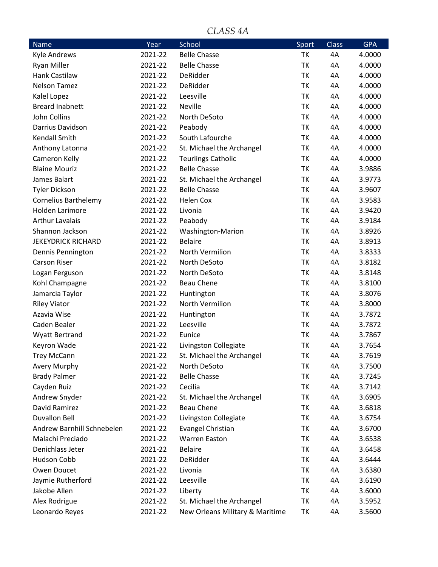### *CLASS 4A*

| <b>Name</b>                 | Year    | School                          | Sport     | Class | <b>GPA</b> |
|-----------------------------|---------|---------------------------------|-----------|-------|------------|
| <b>Kyle Andrews</b>         | 2021-22 | <b>Belle Chasse</b>             | TK        | 4A    | 4.0000     |
| <b>Ryan Miller</b>          | 2021-22 | <b>Belle Chasse</b>             | TK        | 4A    | 4.0000     |
| <b>Hank Castilaw</b>        | 2021-22 | DeRidder                        | TK        | 4A    | 4.0000     |
| <b>Nelson Tamez</b>         | 2021-22 | DeRidder                        | TK        | 4A    | 4.0000     |
| Kalel Lopez                 | 2021-22 | Leesville                       | TK        | 4A    | 4.0000     |
| <b>Breard Inabnett</b>      | 2021-22 | Neville                         | TK        | 4A    | 4.0000     |
| John Collins                | 2021-22 | North DeSoto                    | TK        | 4A    | 4.0000     |
| Darrius Davidson            | 2021-22 | Peabody                         | TK        | 4A    | 4.0000     |
| <b>Kendall Smith</b>        | 2021-22 | South Lafourche                 | TK        | 4A    | 4.0000     |
| Anthony Latonna             | 2021-22 | St. Michael the Archangel       | TK        | 4A    | 4.0000     |
| Cameron Kelly               | 2021-22 | <b>Teurlings Catholic</b>       | TK        | 4A    | 4.0000     |
| <b>Blaine Mouriz</b>        | 2021-22 | <b>Belle Chasse</b>             | TK        | 4A    | 3.9886     |
| James Balart                | 2021-22 | St. Michael the Archangel       | TK        | 4A    | 3.9773     |
| <b>Tyler Dickson</b>        | 2021-22 | <b>Belle Chasse</b>             | TK        | 4A    | 3.9607     |
| <b>Cornelius Barthelemy</b> | 2021-22 | <b>Helen Cox</b>                | TK        | 4A    | 3.9583     |
| <b>Holden Larimore</b>      | 2021-22 | Livonia                         | TK        | 4A    | 3.9420     |
| <b>Arthur Lavalais</b>      | 2021-22 | Peabody                         | TK        | 4A    | 3.9184     |
| Shannon Jackson             | 2021-22 | Washington-Marion               | TK        | 4A    | 3.8926     |
| <b>JEKEYDRICK RICHARD</b>   | 2021-22 | <b>Belaire</b>                  | TK        | 4A    | 3.8913     |
| Dennis Pennington           | 2021-22 | North Vermilion                 | TK        | 4A    | 3.8333     |
| <b>Carson Riser</b>         | 2021-22 | North DeSoto                    | TK        | 4A    | 3.8182     |
| Logan Ferguson              | 2021-22 | North DeSoto                    | <b>TK</b> | 4A    | 3.8148     |
| Kohl Champagne              | 2021-22 | <b>Beau Chene</b>               | TK        | 4A    | 3.8100     |
| Jamarcia Taylor             | 2021-22 | Huntington                      | TK        | 4A    | 3.8076     |
| <b>Riley Viator</b>         | 2021-22 | North Vermilion                 | TK        | 4A    | 3.8000     |
| Azavia Wise                 | 2021-22 | Huntington                      | TK        | 4A    | 3.7872     |
| Caden Bealer                | 2021-22 | Leesville                       | TK        | 4A    | 3.7872     |
| Wyatt Bertrand              | 2021-22 | Eunice                          | TK        | 4A    | 3.7867     |
| Keyron Wade                 | 2021-22 | Livingston Collegiate           | TK        | 4A    | 3.7654     |
| <b>Trey McCann</b>          | 2021-22 | St. Michael the Archangel       | ТK        | 4A    | 3.7619     |
| <b>Avery Murphy</b>         | 2021-22 | North DeSoto                    | ΤK        | 4A    | 3.7500     |
| <b>Brady Palmer</b>         | 2021-22 | <b>Belle Chasse</b>             | ТK        | 4A    | 3.7245     |
| Cayden Ruiz                 | 2021-22 | Cecilia                         | ТK        | 4A    | 3.7142     |
| Andrew Snyder               | 2021-22 | St. Michael the Archangel       | TK        | 4A    | 3.6905     |
| David Ramirez               | 2021-22 | <b>Beau Chene</b>               | TK        | 4A    | 3.6818     |
| <b>Duvallon Bell</b>        | 2021-22 | Livingston Collegiate           | ΤK        | 4A    | 3.6754     |
| Andrew Barnhill Schnebelen  | 2021-22 | <b>Evangel Christian</b>        | TK        | 4A    | 3.6700     |
| Malachi Preciado            | 2021-22 | <b>Warren Easton</b>            | ТK        | 4A    | 3.6538     |
| Denichlass Jeter            | 2021-22 | <b>Belaire</b>                  | ТK        | 4A    | 3.6458     |
| Hudson Cobb                 | 2021-22 | DeRidder                        | ТK        | 4A    | 3.6444     |
| Owen Doucet                 | 2021-22 | Livonia                         | TK        | 4A    | 3.6380     |
| Jaymie Rutherford           | 2021-22 | Leesville                       | ΤK        | 4A    | 3.6190     |
| Jakobe Allen                | 2021-22 | Liberty                         | ΤK        | 4A    | 3.6000     |
| Alex Rodrigue               | 2021-22 | St. Michael the Archangel       | ТK        | 4A    | 3.5952     |
| Leonardo Reyes              | 2021-22 | New Orleans Military & Maritime | ΤK        | 4A    | 3.5600     |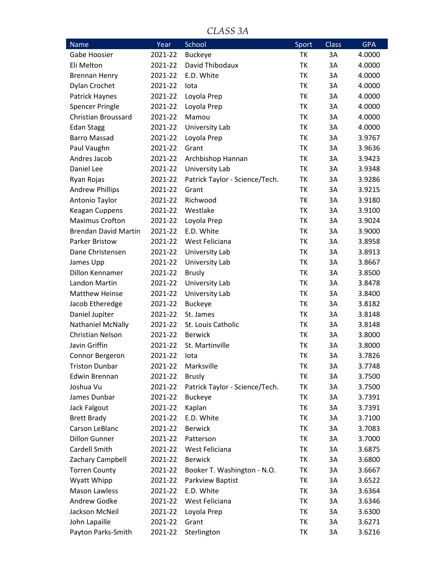*CLASS 3A*

| Name                        | Year    | School                         | Sport     | Class | <b>GPA</b> |
|-----------------------------|---------|--------------------------------|-----------|-------|------------|
| Gabe Hoosier                | 2021-22 | <b>Buckeye</b>                 | ТK        | 3A    | 4.0000     |
| Eli Melton                  | 2021-22 | David Thibodaux                | TK        | 3A    | 4.0000     |
| <b>Brennan Henry</b>        | 2021-22 | E.D. White                     | TK        | 3A    | 4.0000     |
| Dylan Crochet               | 2021-22 | lota                           | TK        | 3A    | 4.0000     |
| Patrick Haynes              | 2021-22 | Loyola Prep                    | TK        | 3A    | 4.0000     |
| <b>Spencer Pringle</b>      | 2021-22 | Loyola Prep                    | TK        | 3A    | 4.0000     |
| <b>Christian Broussard</b>  | 2021-22 | Mamou                          | TK        | 3A    | 4.0000     |
| <b>Edan Stagg</b>           | 2021-22 | University Lab                 | TK        | 3A    | 4.0000     |
| <b>Barro Massad</b>         | 2021-22 | Loyola Prep                    | TK        | 3A    | 3.9767     |
| Paul Vaughn                 | 2021-22 | Grant                          | <b>TK</b> | 3A    | 3.9636     |
| Andres Jacob                | 2021-22 | Archbishop Hannan              | TK        | 3A    | 3.9423     |
| Daniel Lee                  | 2021-22 | University Lab                 | TK        | 3A    | 3.9348     |
| Ryan Rojas                  | 2021-22 | Patrick Taylor - Science/Tech. | TK        | 3A    | 3.9286     |
| <b>Andrew Phillips</b>      | 2021-22 | Grant                          | TK        | 3A    | 3.9215     |
| Antonio Taylor              | 2021-22 | Richwood                       | TK        | 3A    | 3.9180     |
| Keagan Cuppens              | 2021-22 | Westlake                       | TK        | 3A    | 3.9100     |
| <b>Maximus Crofton</b>      | 2021-22 | Loyola Prep                    | TK        | 3A    | 3.9024     |
| <b>Brendan David Martin</b> | 2021-22 | E.D. White                     | TK        | 3A    | 3.9000     |
| <b>Parker Bristow</b>       | 2021-22 | West Feliciana                 | TK        | 3A    | 3.8958     |
| Dane Christensen            | 2021-22 | University Lab                 | TK        | 3A    | 3.8913     |
| James Upp                   | 2021-22 | University Lab                 | TK        | 3A    | 3.8667     |
| Dillon Kennamer             | 2021-22 | <b>Brusly</b>                  | <b>TK</b> | 3A    | 3.8500     |
| Landon Martin               | 2021-22 | University Lab                 | TK        | 3A    | 3.8478     |
| <b>Matthew Heinse</b>       | 2021-22 | University Lab                 | TK        | 3A    | 3.8400     |
| Jacob Etheredge             | 2021-22 | <b>Buckeye</b>                 | TK        | 3A    | 3.8182     |
| Daniel Jupiter              | 2021-22 | St. James                      | TK        | 3A    | 3.8148     |
| Nathaniel McNally           | 2021-22 | St. Louis Catholic             | TK        | 3A    | 3.8148     |
| <b>Christian Nelson</b>     | 2021-22 | <b>Berwick</b>                 | TK        | 3A    | 3.8000     |
| Javin Griffin               | 2021-22 | St. Martinville                | TK        | 3A    | 3.8000     |
| Connor Bergeron             | 2021-22 | lota                           | TK        | 3A    | 3.7826     |
| <b>Triston Dunbar</b>       | 2021-22 | Marksville                     | TK        | 3A    | 3.7748     |
| <b>Edwin Brennan</b>        | 2021-22 | <b>Brusly</b>                  | TK        | 3A    | 3.7500     |
| Joshua Vu                   | 2021-22 | Patrick Taylor - Science/Tech. | TK        | 3A    | 3.7500     |
| James Dunbar                | 2021-22 | <b>Buckeye</b>                 | TK        | 3A    | 3.7391     |
| Jack Falgout                | 2021-22 | Kaplan                         | TK        | 3A    | 3.7391     |
| <b>Brett Brady</b>          | 2021-22 | E.D. White                     | TK        | 3A    | 3.7100     |
| Carson LeBlanc              | 2021-22 | <b>Berwick</b>                 | ТK        | 3A    | 3.7083     |
| <b>Dillon Gunner</b>        | 2021-22 | Patterson                      | TK        | 3A    | 3.7000     |
| Cardell Smith               | 2021-22 | West Feliciana                 | TK        | 3A    | 3.6875     |
| Zachary Campbell            | 2021-22 | <b>Berwick</b>                 | TK        | 3A    | 3.6800     |
| <b>Torren County</b>        | 2021-22 | Booker T. Washington - N.O.    | TK        | 3A    | 3.6667     |
| Wyatt Whipp                 | 2021-22 | Parkview Baptist               | ТK        | 3A    | 3.6522     |
| <b>Mason Lawless</b>        | 2021-22 | E.D. White                     | TK        | 3A    | 3.6364     |
| Andrew Godke                | 2021-22 | West Feliciana                 | TK        | 3A    | 3.6346     |
| Jackson McNeil              | 2021-22 | Loyola Prep                    | TK        | 3A    | 3.6300     |
| John Lapaille               | 2021-22 | Grant                          | TK        | 3A    | 3.6271     |
| Payton Parks-Smith          | 2021-22 | Sterlington                    | ΤK        | 3A    | 3.6216     |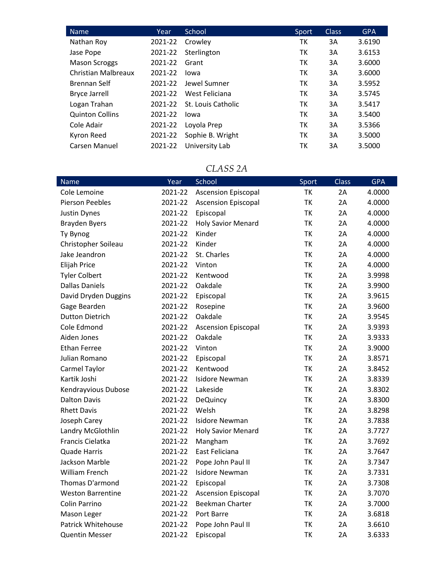| <b>Name</b>            | Year    | School             | Sport | <b>Class</b> | <b>GPA</b> |
|------------------------|---------|--------------------|-------|--------------|------------|
| Nathan Roy             | 2021-22 | Crowley            | ТK    | 3A           | 3.6190     |
| Jase Pope              | 2021-22 | Sterlington        | тк    | 3A           | 3.6153     |
| <b>Mason Scroggs</b>   | 2021-22 | Grant              | тк    | 3A           | 3.6000     |
| Christian Malbreaux    | 2021-22 | lowa               | ТK    | 3A           | 3.6000     |
| Brennan Self           | 2021-22 | Jewel Sumner       | ТK    | 3A           | 3.5952     |
| <b>Bryce Jarrell</b>   | 2021-22 | West Feliciana     | тк    | 3A           | 3.5745     |
| Logan Trahan           | 2021-22 | St. Louis Catholic | тк    | 3A           | 3.5417     |
| <b>Quinton Collins</b> | 2021-22 | lowa               | ТK    | 3A           | 3.5400     |
| Cole Adair             | 2021-22 | Loyola Prep        | ТK    | 3A           | 3.5366     |
| Kyron Reed             | 2021-22 | Sophie B. Wright   | тк    | 3A           | 3.5000     |
| Carsen Manuel          | 2021-22 | University Lab     | ТΚ    | 3A           | 3.5000     |

#### *CLASS 2A*

| Name                      | Year    | <b>School</b>              | Sport     | <b>Class</b> | <b>GPA</b> |
|---------------------------|---------|----------------------------|-----------|--------------|------------|
| Cole Lemoine              | 2021-22 | <b>Ascension Episcopal</b> | <b>TK</b> | 2A           | 4.0000     |
| Pierson Peebles           | 2021-22 | <b>Ascension Episcopal</b> | ТK        | 2A           | 4.0000     |
| <b>Justin Dynes</b>       | 2021-22 | Episcopal                  | <b>TK</b> | 2A           | 4.0000     |
| <b>Brayden Byers</b>      | 2021-22 | <b>Holy Savior Menard</b>  | ТK        | 2A           | 4.0000     |
| Ty Bynog                  | 2021-22 | Kinder                     | TK        | 2A           | 4.0000     |
| Christopher Soileau       | 2021-22 | Kinder                     | <b>TK</b> | 2A           | 4.0000     |
| Jake Jeandron             | 2021-22 | St. Charles                | TK        | 2A           | 4.0000     |
| <b>Elijah Price</b>       | 2021-22 | Vinton                     | <b>TK</b> | 2A           | 4.0000     |
| <b>Tyler Colbert</b>      | 2021-22 | Kentwood                   | <b>TK</b> | 2A           | 3.9998     |
| <b>Dallas Daniels</b>     | 2021-22 | Oakdale                    | <b>TK</b> | 2A           | 3.9900     |
| David Dryden Duggins      | 2021-22 | Episcopal                  | <b>TK</b> | 2A           | 3.9615     |
| Gage Bearden              | 2021-22 | Rosepine                   | <b>TK</b> | 2A           | 3.9600     |
| <b>Dutton Dietrich</b>    | 2021-22 | Oakdale                    | <b>TK</b> | 2A           | 3.9545     |
| Cole Edmond               | 2021-22 | <b>Ascension Episcopal</b> | <b>TK</b> | 2A           | 3.9393     |
| Aiden Jones               | 2021-22 | Oakdale                    | <b>TK</b> | 2A           | 3.9333     |
| <b>Ethan Ferree</b>       | 2021-22 | Vinton                     | <b>TK</b> | 2Α           | 3.9000     |
| Julian Romano             | 2021-22 | Episcopal                  | <b>TK</b> | 2A           | 3.8571     |
| Carmel Taylor             | 2021-22 | Kentwood                   | <b>TK</b> | 2A           | 3.8452     |
| Kartik Joshi              | 2021-22 | <b>Isidore Newman</b>      | TK        | 2A           | 3.8339     |
| Kendrayvious Dubose       | 2021-22 | Lakeside                   | <b>TK</b> | 2A           | 3.8302     |
| <b>Dalton Davis</b>       | 2021-22 | <b>DeQuincy</b>            | <b>TK</b> | 2A           | 3.8300     |
| <b>Rhett Davis</b>        | 2021-22 | Welsh                      | TK        | 2A           | 3.8298     |
| Joseph Carey              | 2021-22 | <b>Isidore Newman</b>      | <b>TK</b> | 2A           | 3.7838     |
| Landry McGlothlin         | 2021-22 | <b>Holy Savior Menard</b>  | TK        | 2A           | 3.7727     |
| Francis Cielatka          | 2021-22 | Mangham                    | <b>TK</b> | 2A           | 3.7692     |
| <b>Quade Harris</b>       | 2021-22 | East Feliciana             | <b>TK</b> | 2A           | 3.7647     |
| Jackson Marble            | 2021-22 | Pope John Paul II          | TK        | 2A           | 3.7347     |
| <b>William French</b>     | 2021-22 | <b>Isidore Newman</b>      | TK        | 2A           | 3.7331     |
| Thomas D'armond           | 2021-22 | Episcopal                  | <b>TK</b> | 2A           | 3.7308     |
| <b>Weston Barrentine</b>  | 2021-22 | <b>Ascension Episcopal</b> | TK        | 2A           | 3.7070     |
| Colin Parrino             | 2021-22 | <b>Beekman Charter</b>     | <b>TK</b> | 2A           | 3.7000     |
| Mason Leger               | 2021-22 | Port Barre                 | ТK        | 2A           | 3.6818     |
| <b>Patrick Whitehouse</b> | 2021-22 | Pope John Paul II          | TK        | 2A           | 3.6610     |
| <b>Quentin Messer</b>     | 2021-22 | Episcopal                  | <b>TK</b> | 2A           | 3.6333     |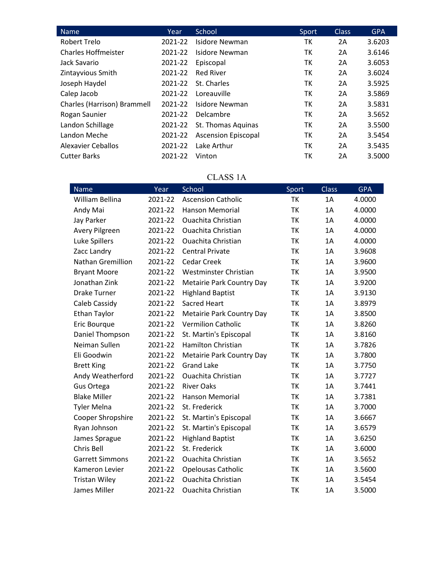| <b>Name</b>                 | Year    | School                     | Sport | <b>Class</b> | <b>GPA</b> |
|-----------------------------|---------|----------------------------|-------|--------------|------------|
| Robert Trelo                | 2021-22 | Isidore Newman             | тк    | 2A           | 3.6203     |
| <b>Charles Hoffmeister</b>  | 2021-22 | Isidore Newman             | тк    | 2A           | 3.6146     |
| Jack Savario                | 2021-22 | Episcopal                  | ТK    | 2A           | 3.6053     |
| Zintayvious Smith           | 2021-22 | <b>Red River</b>           | ТK    | 2A           | 3.6024     |
| Joseph Haydel               | 2021-22 | St. Charles                | тк    | 2A           | 3.5925     |
| Calep Jacob                 | 2021-22 | Loreauville                | ТΚ    | 2A           | 3.5869     |
| Charles (Harrison) Brammell | 2021-22 | Isidore Newman             | ТK    | 2A           | 3.5831     |
| Rogan Saunier               | 2021-22 | Delcambre                  | тк    | 2A           | 3.5652     |
| Landon Schillage            | 2021-22 | St. Thomas Aquinas         | ТK    | 2A           | 3.5500     |
| Landon Meche                | 2021-22 | <b>Ascension Episcopal</b> | ТK    | 2A           | 3.5454     |
| Alexavier Ceballos          | 2021-22 | Lake Arthur                | тк    | 2A           | 3.5435     |
| <b>Cutter Barks</b>         | 2021-22 | Vinton                     | ТΚ    | 2A           | 3.5000     |

## CLASS 1A

| <b>Name</b>            | Year    | School                           | Sport     | <b>Class</b> | <b>GPA</b> |
|------------------------|---------|----------------------------------|-----------|--------------|------------|
| William Bellina        | 2021-22 | <b>Ascension Catholic</b>        | <b>TK</b> | 1A           | 4.0000     |
| Andy Mai               | 2021-22 | Hanson Memorial                  | TK        | 1A           | 4.0000     |
| Jay Parker             | 2021-22 | <b>Ouachita Christian</b>        | <b>TK</b> | 1A           | 4.0000     |
| Avery Pilgreen         | 2021-22 | <b>Ouachita Christian</b>        | <b>TK</b> | 1A           | 4.0000     |
| Luke Spillers          | 2021-22 | <b>Ouachita Christian</b>        | <b>TK</b> | 1A           | 4.0000     |
| Zacc Landry            | 2021-22 | <b>Central Private</b>           | <b>TK</b> | 1A           | 3.9608     |
| Nathan Gremillion      | 2021-22 | <b>Cedar Creek</b>               | <b>TK</b> | 1A           | 3.9600     |
| <b>Bryant Moore</b>    | 2021-22 | Westminster Christian            | <b>TK</b> | 1A           | 3.9500     |
| Jonathan Zink          | 2021-22 | Metairie Park Country Day        | <b>TK</b> | 1A           | 3.9200     |
| <b>Drake Turner</b>    | 2021-22 | <b>Highland Baptist</b>          | <b>TK</b> | 1A           | 3.9130     |
| Caleb Cassidy          | 2021-22 | Sacred Heart                     | <b>TK</b> | 1A           | 3.8979     |
| <b>Ethan Taylor</b>    | 2021-22 | <b>Metairie Park Country Day</b> | <b>TK</b> | 1A           | 3.8500     |
| Eric Bourque           | 2021-22 | <b>Vermilion Catholic</b>        | <b>TK</b> | 1A           | 3.8260     |
| Daniel Thompson        | 2021-22 | St. Martin's Episcopal           | <b>TK</b> | 1A           | 3.8160     |
| Neiman Sullen          | 2021-22 | <b>Hamilton Christian</b>        | <b>TK</b> | 1A           | 3.7826     |
| Eli Goodwin            | 2021-22 | Metairie Park Country Day        | <b>TK</b> | 1A           | 3.7800     |
| <b>Brett King</b>      | 2021-22 | <b>Grand Lake</b>                | <b>TK</b> | 1A           | 3.7750     |
| Andy Weatherford       | 2021-22 | <b>Ouachita Christian</b>        | <b>TK</b> | 1A           | 3.7727     |
| Gus Ortega             | 2021-22 | <b>River Oaks</b>                | <b>TK</b> | 1A           | 3.7441     |
| <b>Blake Miller</b>    | 2021-22 | <b>Hanson Memorial</b>           | <b>TK</b> | 1A           | 3.7381     |
| <b>Tyler Melna</b>     | 2021-22 | St. Frederick                    | TK        | 1A           | 3.7000     |
| Cooper Shropshire      | 2021-22 | St. Martin's Episcopal           | TK        | 1A           | 3.6667     |
| Ryan Johnson           | 2021-22 | St. Martin's Episcopal           | TK        | 1A           | 3.6579     |
| James Sprague          | 2021-22 | <b>Highland Baptist</b>          | <b>TK</b> | 1A           | 3.6250     |
| Chris Bell             | 2021-22 | St. Frederick                    | <b>TK</b> | 1A           | 3.6000     |
| <b>Garrett Simmons</b> | 2021-22 | <b>Ouachita Christian</b>        | <b>TK</b> | 1A           | 3.5652     |
| Kameron Levier         | 2021-22 | <b>Opelousas Catholic</b>        | TK        | 1A           | 3.5600     |
| <b>Tristan Wiley</b>   | 2021-22 | <b>Ouachita Christian</b>        | TK        | 1A           | 3.5454     |
| James Miller           | 2021-22 | <b>Ouachita Christian</b>        | <b>TK</b> | 1A           | 3.5000     |